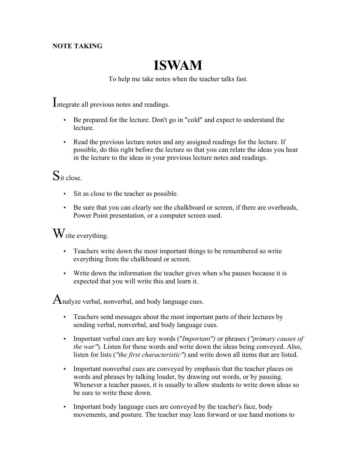#### **NOTE TAKING**

# **ISWAM**

To help me take notes when the teacher talks fast.

Integrate all previous notes and readings.

- Be prepared for the lecture. Don't go in "cold" and expect to understand the lecture.
- Read the previous lecture notes and any assigned readings for the lecture. If possible, do this right before the lecture so that you can relate the ideas you hear in the lecture to the ideas in your previous lecture notes and readings.

## $S_{it close.}$

- Sit as close to the teacher as possible.
- Be sure that you can clearly see the chalkboard or screen, if there are overheads, Power Point presentation, or a computer screen used.

#### $W_{\text{rite everything.}}$

- Teachers write down the most important things to be remembered so write everything from the chalkboard or screen.
- Write down the information the teacher gives when s/he pauses because it is expected that you will write this and learn it.

 $A$ nalyze verbal, nonverbal, and body language cues.

- Teachers send messages about the most important parts of their lectures by sending verbal, nonverbal, and body language cues.
- Important verbal cues are key words ("*Important")* or phrases (*"primary causes of the war"*). Listen for these words and write down the ideas being conveyed. Also, listen for lists (*"the first characteristic"*) and write down all items that are listed.
- Important nonverbal cues are conveyed by emphasis that the teacher places on words and phrases by talking louder, by drawing out words, or by pausing. Whenever a teacher pauses, it is usually to allow students to write down ideas so be sure to write these down.
- Important body language cues are conveyed by the teacher's face, body movements, and posture. The teacher may lean forward or use hand motions to